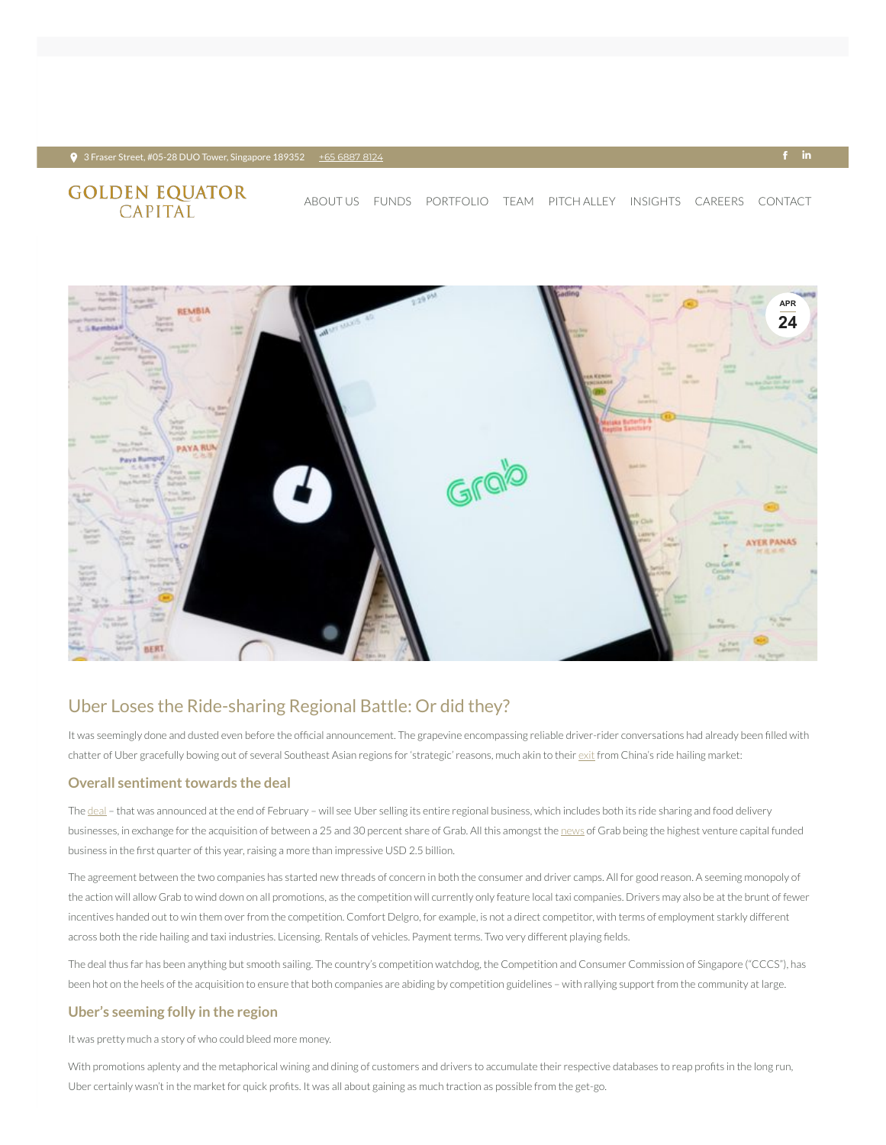# **GOLDEN EQUATOR**<br>CAPITAL

## Uber Loses the Ride-sharing Regional Battle: Or did they?

It was seemingly done and dusted even before the official announcement. The grapevine encompassing reliable driver-rider conversations had already been filled with chatter of Uber gracefully bowing out of several Southeast Asian regions for 'strategic' reasons, much akin to their [exit](https://www.goldenequatorcapital.com/2017/10/09/uber-left-china-operations-sold-to-didi-chuxing/) from China's ride hailing market:

#### **Overall sentiment towards the deal**

The [deal](http://www.straitstimes.com/singapore/uber-grab-deal-set-to-be-announced) – that was announced at the end of February – will see Uber selling its entire regional business, which includes both its ride sharing and food delivery businesses, in exchange for the acquisition of between a 25 and 30 percent share of Grab. All this amongst the [news](https://www.fool.sg/2018/04/16/last-week-in-numbers-grab-raises-most-funding-in-the-world/) of Grab being the highest venture capital funded business in the first quarter of this year, raising a more than impressive USD 2.5 billion.

The agreement between the two companies has started new threads of concern in both the consumer and driver camps. All for good reason. A seeming monopoly of the action will allow Grab to wind down on all promotions, as the competition will currently only feature local taxi companies. Drivers may also be at the brunt of fewer incentives handed out to win them over from the competition. Comfort Delgro, for example, is not a direct competitor, with terms of employment starkly different across both the ride hailing and taxi industries. Licensing. Rentals of vehicles. Payment terms. Two very different playing fields.

The deal thus far has been anything but smooth sailing. The country's competition watchdog, the Competition and Consumer Commission of Singapore ("CCCS"), has been hot on the heels of the acquisition to ensure that both companies are abiding by competition guidelines – with rallying support from the community at large.

#### **Uber's seeming folly in the region**

It was pretty much a story of who could bleed more money.

With promotions aplenty and the metaphorical wining and dining of customers and drivers to accumulate their respective databases to reap profits in the long run, Uber certainly wasn't in the market for quick profits. It was all about gaining as much traction as possible from the get-go.



[ABOUT](https://www.goldenequatorcapital.com/) US [FUNDS](https://www.goldenequatorcapital.com/funds/) [PORTFOLIO](https://www.goldenequatorcapital.com/portfolio-2/) [TEAM](https://www.goldenequatorcapital.com/team/) [PITCH](https://www.goldenequatorcapital.com/pitch-alley/) ALLEY INSIGHTS [CAREERS](https://www.goldenequatorcapital.com/careers/) [CONTACT](https://www.goldenequatorcapital.com/contact/)